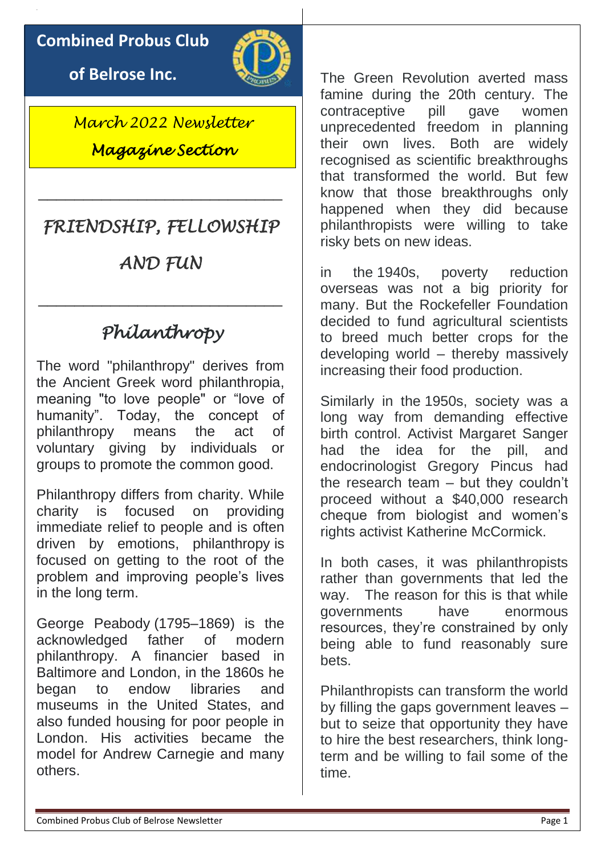### **Combined Probus Club**

**of Belrose Inc.**



*March 2022 Newsletter Magazine Section* 

# *FRIENDSHIP, FELLOWSHIP*

\_\_\_\_\_\_\_\_\_\_\_\_\_\_\_\_\_\_\_\_\_\_\_\_\_\_\_

# *AND FUN*

\_\_\_\_\_\_\_\_\_\_\_\_\_\_\_\_\_\_\_\_\_\_\_\_\_\_\_

# *Philanthropy*

The word "philanthropy" derives from the Ancient Greek word philanthropia, meaning "to love people" or "love of humanity". Today, the concept of philanthropy means the act of voluntary giving by individuals or groups to promote the common good.

Philanthropy differs from charity. While charity is focused on providing immediate relief to people and is often driven by emotions, philanthropy is focused on getting to the root of the problem and improving people's lives in the long term.

George Peabody (1795–1869) is the acknowledged father of modern philanthropy. A financier based in Baltimore and London, in the 1860s he began to endow libraries and museums in the United States, and also funded housing for poor people in London. His activities became the model for Andrew Carnegie and many others.

The Green Revolution averted mass famine during the 20th century. The contraceptive pill gave women unprecedented freedom in planning their own lives. Both are widely recognised as scientific breakthroughs that transformed the world. But few know that those breakthroughs only happened when they did because philanthropists were willing to take risky bets on new ideas.

in the 1940s, poverty reduction overseas was not a big priority for many. But the Rockefeller Foundation decided to fund agricultural scientists to breed much better crops for the developing world – thereby massively increasing their food production.

Similarly in the 1950s, society was a long way from demanding effective birth control. Activist Margaret Sanger had the idea for the pill, and endocrinologist Gregory Pincus had the research team – but they couldn't proceed without a \$40,000 research cheque from biologist and women's rights activist Katherine McCormick.

In both cases, it was philanthropists rather than governments that led the way. The reason for this is that while governments have enormous resources, they're constrained by only being able to fund reasonably sure bets.

Philanthropists can transform the world by filling the gaps government leaves – but to seize that opportunity they have to hire the best researchers, think longterm and be willing to fail some of the time.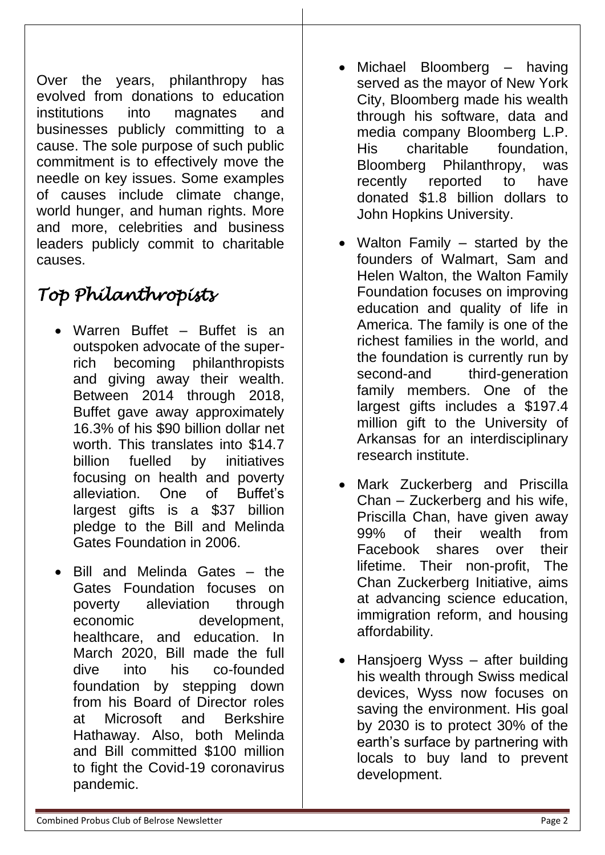Over the years, philanthropy has evolved from donations to education institutions into magnates and businesses publicly committing to a cause. The sole purpose of such public commitment is to effectively move the needle on key issues. Some examples of causes include climate change, world hunger, and human rights. More and more, celebrities and business leaders publicly commit to charitable causes.

# *Top Philanthropists*

- Warren Buffet Buffet is an outspoken advocate of the superrich becoming philanthropists and giving away their wealth. Between 2014 through 2018, Buffet gave away approximately 16.3% of his \$90 billion dollar net worth. This translates into \$14.7 billion fuelled by initiatives focusing on health and poverty alleviation. One of Buffet's largest gifts is a \$37 billion pledge to the Bill and Melinda Gates Foundation in 2006.
- Bill and Melinda Gates the Gates Foundation focuses on poverty alleviation through economic development, healthcare, and education. In March 2020, Bill made the full dive into his co-founded foundation by stepping down from his Board of Director roles at Microsoft and Berkshire Hathaway. Also, both Melinda and Bill committed \$100 million to fight the Covid-19 coronavirus pandemic.
- Michael Bloomberg having served as the mayor of New York City, Bloomberg made his wealth through his software, data and media company Bloomberg L.P. His charitable foundation, Bloomberg Philanthropy, was recently reported to have donated \$1.8 billion dollars to John Hopkins University.
- Walton Family started by the founders of Walmart, Sam and Helen Walton, the Walton Family Foundation focuses on improving education and quality of life in America. The family is one of the richest families in the world, and the foundation is currently run by second-and third-generation family members. One of the largest gifts includes a \$197.4 million gift to the University of Arkansas for an interdisciplinary research institute.
- Mark Zuckerberg and Priscilla Chan – Zuckerberg and his wife, Priscilla Chan, have given away 99% of their wealth from Facebook shares over their lifetime. Their non-profit, The Chan Zuckerberg Initiative, aims at advancing science education, immigration reform, and housing affordability.
- Hansjoerg Wyss after building his wealth through Swiss medical devices, Wyss now focuses on saving the environment. His goal by 2030 is to protect 30% of the earth's surface by partnering with locals to buy land to prevent development.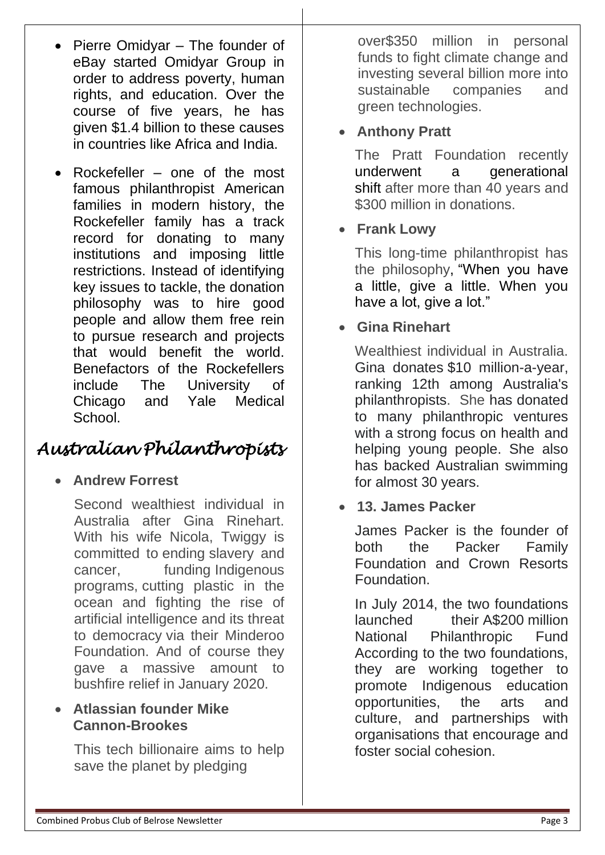- Pierre Omidyar The founder of eBay started Omidyar Group in order to address poverty, human rights, and education. Over the course of five years, he has given \$1.4 billion to these causes in countries like Africa and India.
- Rockefeller one of the most famous philanthropist American families in modern history, the Rockefeller family has a track record for donating to many institutions and imposing little restrictions. Instead of identifying key issues to tackle, the donation philosophy was to hire good people and allow them free rein to pursue research and projects that would benefit the world. Benefactors of the Rockefellers include The University of Chicago and Yale Medical **School.**

# *Australian Philanthropists*

### • **Andrew Forrest**

Second wealthiest individual in Australia after Gina Rinehart. With his wife Nicola, Twiggy is committed to ending slavery and cancer, funding Indigenous programs, cutting plastic in the ocean and fighting the rise of artificial intelligence and its threat to democracy via their Minderoo Foundation. And of course they gave a massive amount to bushfire relief in January 2020.

#### • **Atlassian founder Mike Cannon-Brookes**

This tech billionaire aims to help save the planet by pledging

over\$350 million in personal funds to fight climate change and investing several billion more into sustainable companies and green technologies.

#### • **Anthony Pratt**

The Pratt Foundation recently [underwent a generational](https://www.fpmagazine.com.au/pratt-foundation-lifts-lid-food-philanthropy-354542/)  [shift](https://www.fpmagazine.com.au/pratt-foundation-lifts-lid-food-philanthropy-354542/) after more than 40 years and \$300 million in donations.

#### • **Frank Lowy**

This long-time philanthropist has the philosophy, ["When you have](https://www.fpmagazine.com.au/lowy-when-you-have-a-lot-give-a-lot-357267/)  [a little, give a little. When you](https://www.fpmagazine.com.au/lowy-when-you-have-a-lot-give-a-lot-357267/)  have a lot, give a lot."

#### • **Gina Rinehart**

Wealthiest individual in Australia. Gina donates \$10 million-a-year, ranking 12th among Australia's philanthropists. She has donated to many philanthropic ventures with a strong focus on health and helping young people. She also has backed Australian swimming for almost 30 years.

• **13. James Packer** 

James Packer is the founder of both the Packer Family Foundation and Crown Resorts Foundation.

In July 2014, the two foundations launched their A\$200 million National Philanthropic Fund According to the two foundations, they are working together to promote Indigenous education opportunities, the arts and culture, and partnerships with organisations that encourage and foster social cohesion.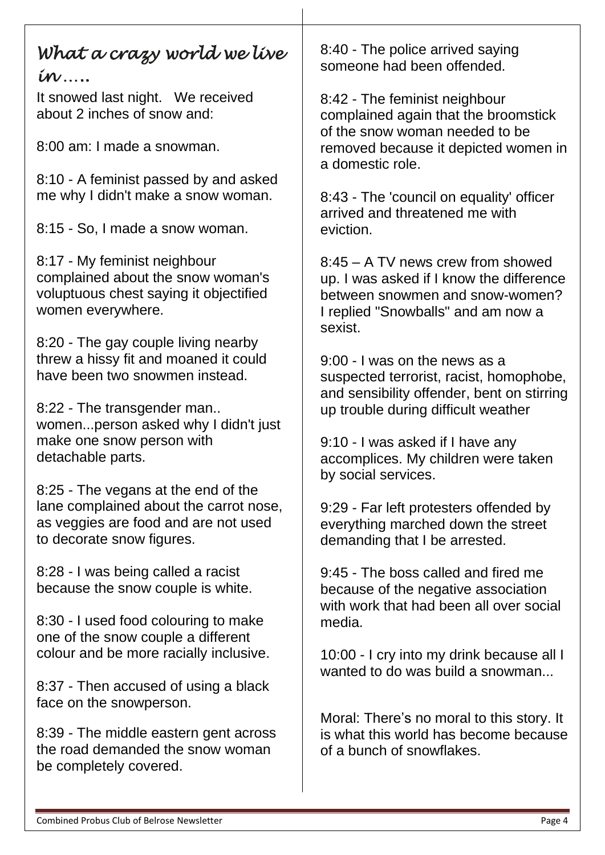### *What a crazy world we live in …..*

It snowed last night. We received about 2 inches of snow and:

8:00 am: I made a snowman.

8:10 - A feminist passed by and asked me why I didn't make a snow woman.

8:15 - So, I made a snow woman.

8:17 - My feminist neighbour complained about the snow woman's voluptuous chest saying it objectified women everywhere.

8:20 - The gay couple living nearby threw a hissy fit and moaned it could have been two snowmen instead.

8:22 - The transgender man.. women...person asked why I didn't just make one snow person with detachable parts.

8:25 - The vegans at the end of the lane complained about the carrot nose, as veggies are food and are not used to decorate snow figures.

8:28 - I was being called a racist because the snow couple is white.

8:30 - I used food colouring to make one of the snow couple a different colour and be more racially inclusive.

8:37 - Then accused of using a black face on the snowperson.

8:39 - The middle eastern gent across the road demanded the snow woman be completely covered.

8:40 - The police arrived saying someone had been offended.

8:42 - The feminist neighbour complained again that the broomstick of the snow woman needed to be removed because it depicted women in a domestic role.

8:43 - The 'council on equality' officer arrived and threatened me with eviction.

8:45 – A TV news crew from showed up. I was asked if I know the difference between snowmen and snow-women? I replied "Snowballs" and am now a sexist.

9:00 - I was on the news as a suspected terrorist, racist, homophobe, and sensibility offender, bent on stirring up trouble during difficult weather

9:10 - I was asked if I have any accomplices. My children were taken by social services.

9:29 - Far left protesters offended by everything marched down the street demanding that I be arrested.

9:45 - The boss called and fired me because of the negative association with work that had been all over social media.

10:00 - I cry into my drink because all I wanted to do was build a snowman...

Moral: There's no moral to this story. It is what this world has become because of a bunch of snowflakes.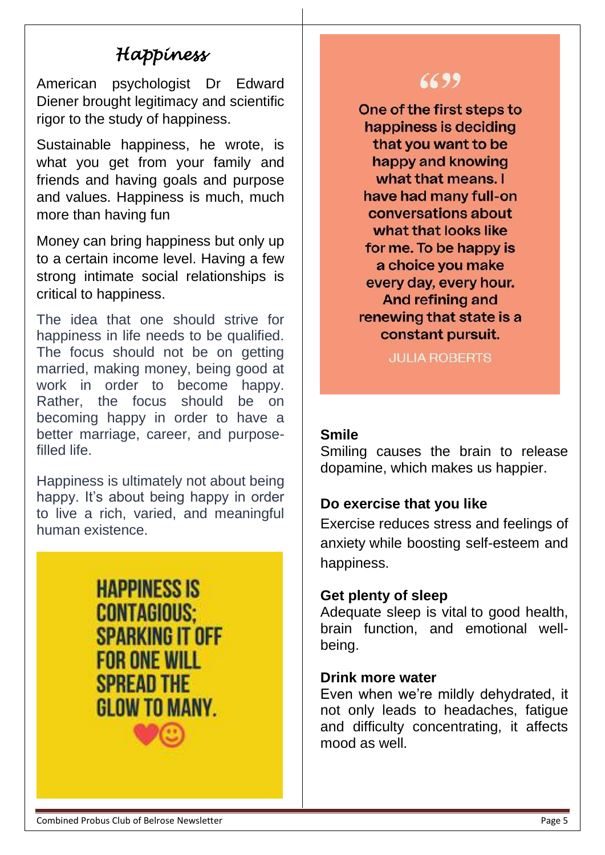# *Happiness*

American psychologist Dr Edward Diener brought legitimacy and scientific rigor to the study of happiness.

Sustainable happiness, he wrote, is what you get from your family and friends and having goals and purpose and values. Happiness is much, much more than having fun

Money can bring happiness but only up to a certain income level. Having a few strong intimate social relationships is critical to happiness.

The idea that one should strive for happiness in life needs to be qualified. The focus should not be on getting married, making money, being good at work in order to become happy. Rather, the focus should be on becoming happy in order to have a better marriage, career, and purposefilled life.

Happiness is ultimately not about being happy. It's about being happy in order to live a rich, varied, and meaningful human existence.

> **HAPPINESS IS CONTAGIOUS: SPARKING IT OFF FOR ONE WILL SPREAD THE** GI OW TO MANY

## 6699

One of the first steps to happiness is deciding that you want to be happy and knowing what that means. I have had many full-on conversations about what that looks like for me. To be happy is a choice you make every day, every hour. And refining and renewing that state is a constant pursuit.

**JULIA ROBERTS** 

#### **Smile**

Smiling causes the brain to release dopamine, which makes us happier.

#### **Do exercise that you like**

Exercise reduces stress and feelings of anxiety while boosting self-esteem and happiness.

#### **Get plenty of sleep**

Adequate sleep is vital to good health, brain function, and emotional wellbeing.

#### **Drink more water**

Even when we're mildly dehydrated, it not only leads to headaches, fatigue and difficulty concentrating, it affects mood as well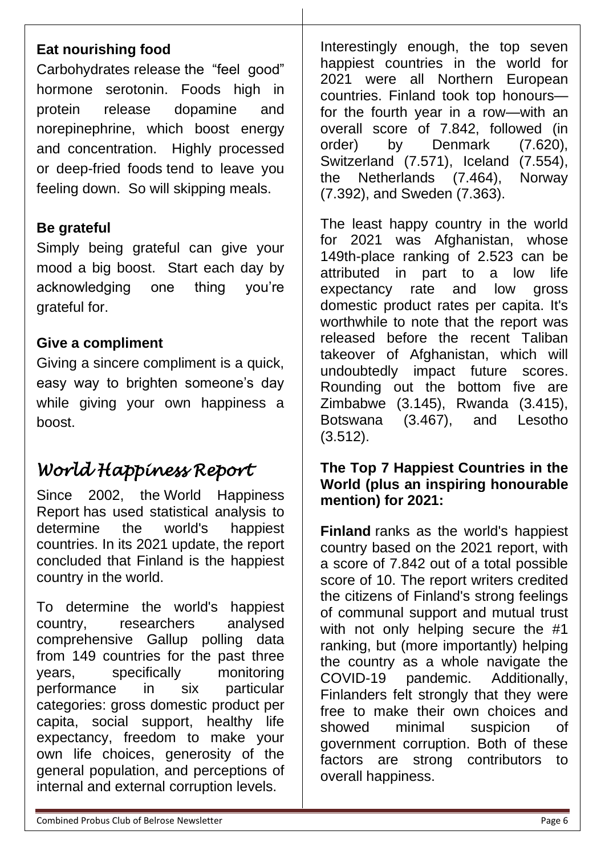### **Eat nourishing food**

Carbohydrates release the "feel good" hormone [serotonin.](https://www.healthline.com/health/mental-health/serotonin) Foods high in protein release dopamine and norepinephrine, which boost energy and concentration. Highly processed or deep-fried foods tend to leave you feeling down. So will skipping meals.

#### **Be grateful**

Simply being grateful can give your mood a big boost. Start each day by acknowledging one thing you're grateful for.

#### **Give a compliment**

Giving a sincere compliment is a quick, easy way to brighten someone's day while giving your own happiness a boost.

# *World Happiness Report*

Since 2002, the [World Happiness](https://worldhappiness.report/ed/2020/social-environments-for-world-happiness/)  [Report](https://worldhappiness.report/ed/2020/social-environments-for-world-happiness/) has used statistical analysis to determine the world's happiest countries. In its 2021 update, the report concluded that Finland is the happiest country in the world.

To determine the world's happiest country, researchers analysed comprehensive Gallup polling data from 149 countries for the past three years, specifically monitoring performance in six particular categories: gross domestic product per capita, social support, healthy life expectancy, freedom to make your own life choices, generosity of the general population, and perceptions of internal and external corruption levels.

Interestingly enough, the top seven happiest countries in the world for 2021 were all Northern European countries. Finland took top honours for the fourth year in a row—with an overall score of 7.842, followed (in order) by Denmark (7.620), Switzerland (7.571), Iceland (7.554), the Netherlands (7.464), Norway (7.392), and Sweden (7.363).

The least happy country in the world for 2021 was Afghanistan, whose 149th-place ranking of 2.523 can be attributed in part to a low life expectancy rate and low gross domestic product rates per capita. It's worthwhile to note that the report was released before the recent Taliban takeover of Afghanistan, which will undoubtedly impact future scores. Rounding out the bottom five are Zimbabwe (3.145), Rwanda (3.415), Botswana (3.467), and Lesotho (3.512).

#### **The Top 7 Happiest Countries in the World (plus an inspiring honourable mention) for 2021:**

**[Finland](https://www.visitfinland.com/)** ranks as the world's happiest country based on the 2021 report, with a score of 7.842 out of a total possible score of 10. The report writers credited the citizens of Finland's strong feelings of communal support and mutual trust with not only helping secure the #1 ranking, but (more importantly) helping the country as a whole navigate the COVID-19 pandemic. Additionally, Finlanders felt strongly that they were free to make their own choices and showed minimal suspicion of government corruption. Both of these factors are strong contributors to overall happiness.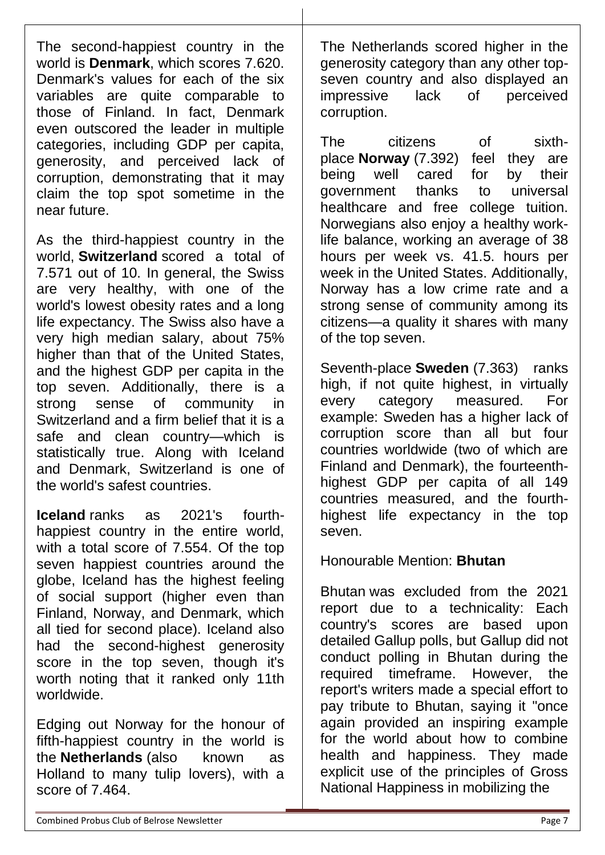The second-happiest country in the world is **[Denmark](https://denmark.dk/)**, which scores 7.620. Denmark's values for each of the six variables are quite comparable to those of Finland. In fact, Denmark even outscored the leader in multiple categories, including GDP per capita, generosity, and perceived lack of corruption, demonstrating that it may claim the top spot sometime in the near future.

As the third-happiest country in the world, **[Switzerland](https://www.myswitzerland.com/en-us/)** scored a total of 7.571 out of 10. In general, the Swiss are very healthy, with one of the world's lowest obesity rates and a long life expectancy. The Swiss also have a very high median salary, about 75% higher than that of the United States, and the highest GDP per capita in the top seven. Additionally, there is a strong sense of community in Switzerland and a firm belief that it is a safe and clean country—which is statistically true. Along with Iceland and Denmark, Switzerland is one of the world's [safest countries.](https://worldpopulationreview.com/country-rankings/safest-countries-in-the-world)

**[Iceland](https://www.inspiredbyiceland.com/)** ranks as 2021's fourthhappiest country in the entire world, with a total score of 7.554. Of the top seven happiest countries around the globe, Iceland has the highest feeling of social support (higher even than Finland, Norway, and Denmark, which all tied for second place). Iceland also had the second-highest generosity score in the top seven, though it's worth noting that it ranked only 11th worldwide.

Edging out Norway for the honour of fifth-happiest country in the world is the **[Netherlands](https://www.holland.com/global/tourism.htm)** (also known as Holland to many tulip lovers), with a score of 7.464.

The Netherlands scored higher in the generosity category than any other topseven country and also displayed an impressive lack of perceived corruption.

The citizens of sixthplace **[Norway](https://www.visitnorway.com/)** (7.392) feel they are being well cared for by their government thanks to universal healthcare and free college tuition. Norwegians also enjoy a healthy [work](https://worldpopulationreview.com/country-rankings/average-work-week-by-country)[life balance,](https://worldpopulationreview.com/country-rankings/average-work-week-by-country) working an average of 38 hours per week vs. 41.5. hours per week in the United States. Additionally, Norway has a low crime rate and a strong sense of community among its citizens—a quality it shares with many of the top seven.

Seventh-place **[Sweden](https://sweden.se/)** (7.363) ranks high, if not quite highest, in virtually every category measured. For example: Sweden has a higher lack of corruption score than all but four countries worldwide (two of which are Finland and Denmark), the fourteenthhighest GDP per capita of all 149 countries measured, and the fourthhighest life expectancy in the top seven.

Honourable Mention: **Bhutan**

[Bhutan](https://www.tourism.gov.bt/) was excluded from the 2021 report due to a technicality: Each country's scores are based upon detailed Gallup polls, but Gallup did not conduct polling in Bhutan during the required timeframe. However, the report's writers made a special effort to pay tribute to Bhutan, saying it "once again provided an inspiring example for the world about how to combine health and happiness. They made explicit use of the principles of Gross National Happiness in mobilizing the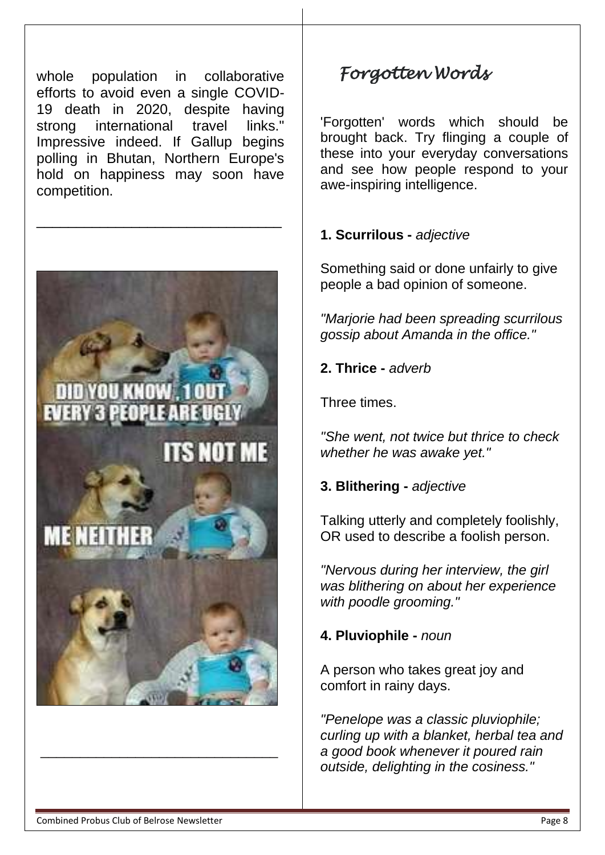whole population in collaborative efforts to avoid even a single COVID-19 death in 2020, despite having strong international travel links." Impressive indeed. If Gallup begins polling in Bhutan, Northern Europe's hold on happiness may soon have competition.

\_\_\_\_\_\_\_\_\_\_\_\_\_\_\_\_\_\_\_\_\_\_\_\_\_\_\_\_\_\_\_



# *Forgotten Words*

'Forgotten' words which should be brought back. Try flinging a couple of these into your everyday conversations and see how people respond to your awe-inspiring intelligence.

#### **1. Scurrilous -** *adjective*

Something said or done unfairly to give people a bad opinion of someone.

*"Marjorie had been spreading scurrilous gossip about Amanda in the office."*

**2. Thrice -** *adverb*

Three times.

*"She went, not twice but thrice to check whether he was awake yet."*

#### **3. Blithering -** *adjective*

Talking utterly and completely foolishly, OR used to describe a foolish person.

*"Nervous during her interview, the girl was blithering on about her experience with poodle grooming."*

**4. Pluviophile -** *noun*

A person who takes great joy and comfort in rainy days.

*"Penelope was a classic pluviophile; curling up with a blanket, herbal tea and a good book whenever it poured rain outside, delighting in the cosiness."*

\_\_\_\_\_\_\_\_\_\_\_\_\_\_\_\_\_\_\_\_\_\_\_\_\_\_\_\_\_\_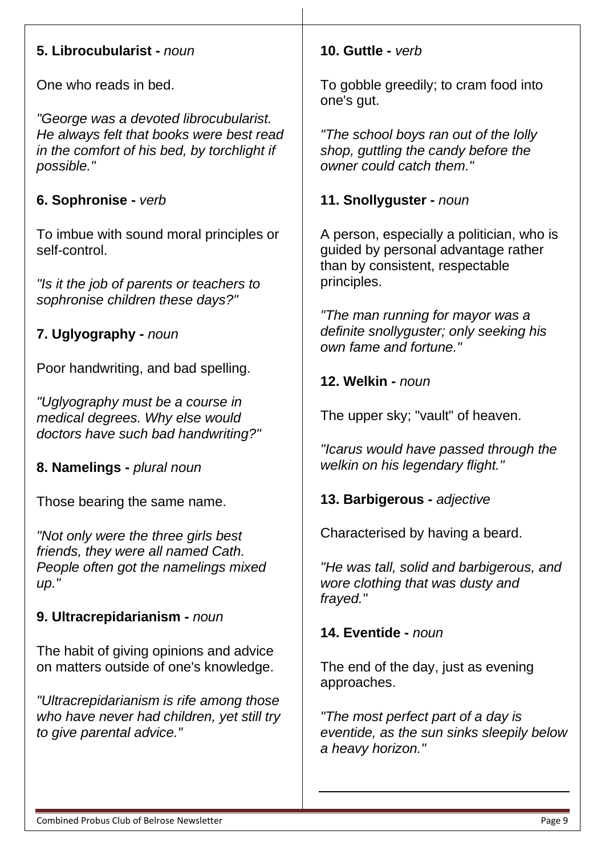#### **5. Librocubularist -** *noun*

One who reads in bed.

*"George was a devoted librocubularist. He always felt that books were best read in the comfort of his bed, by torchlight if possible."*

### **6. Sophronise -** *verb*

To imbue with sound moral principles or self-control.

*"Is it the job of parents or teachers to sophronise children these days?"*

### **7. Uglyography -** *noun*

Poor handwriting, and bad spelling.

*"Uglyography must be a course in medical degrees. Why else would doctors have such bad handwriting?"*

**8. Namelings -** *plural noun*

Those bearing the same name.

*"Not only were the three girls best friends, they were all named Cath. People often got the namelings mixed up."*

### **9. Ultracrepidarianism -** *noun*

The habit of giving opinions and advice on matters outside of one's knowledge.

*"Ultracrepidarianism is rife among those who have never had children, yet still try to give parental advice."*

#### **10. Guttle -** *verb*

To gobble greedily; to cram food into one's gut.

*"The school boys ran out of the lolly shop, guttling the candy before the owner could catch them."*

### **11. Snollyguster -** *noun*

A person, especially a politician, who is guided by personal advantage rather than by consistent, respectable principles.

*"The man running for mayor was a definite snollyguster; only seeking his own fame and fortune."*

**12. Welkin -** *noun*

The upper sky; "vault" of heaven.

*"Icarus would have passed through the welkin on his legendary flight."*

**13. Barbigerous -** *adjective*

Characterised by having a beard.

*"He was tall, solid and barbigerous, and wore clothing that was dusty and frayed."*

**14. Eventide -** *noun*

The end of the day, just as evening approaches.

*"The most perfect part of a day is eventide, as the sun sinks sleepily below a heavy horizon."*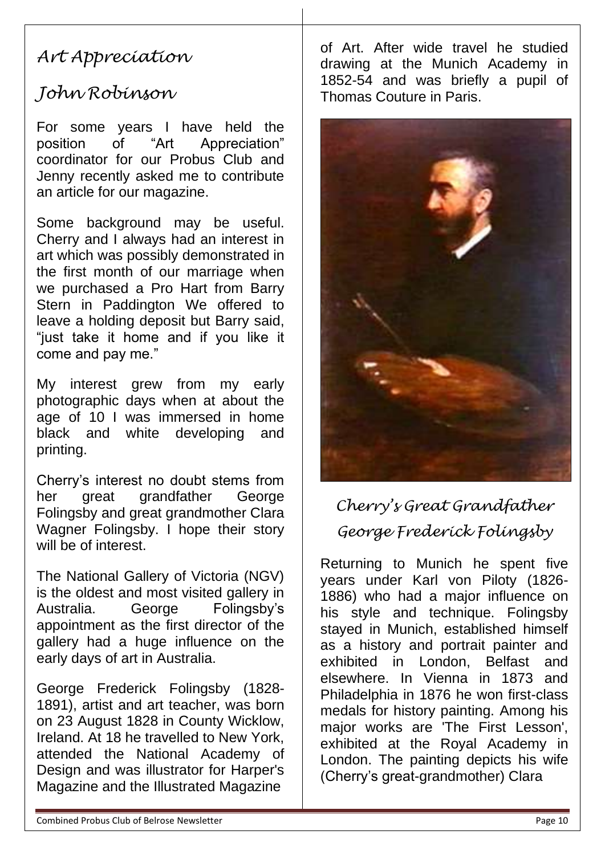## *Art Appreciation*

## *John Robinson*

For some years I have held the position of "Art Appreciation" coordinator for our Probus Club and Jenny recently asked me to contribute an article for our magazine.

Some background may be useful. Cherry and I always had an interest in art which was possibly demonstrated in the first month of our marriage when we purchased a Pro Hart from Barry Stern in Paddington We offered to leave a holding deposit but Barry said, "just take it home and if you like it come and pay me."

My interest grew from my early photographic days when at about the age of 10 I was immersed in home black and white developing and printing.

Cherry's interest no doubt stems from her great grandfather George Folingsby and great grandmother Clara Wagner Folingsby. I hope their story will be of interest.

The National Gallery of Victoria (NGV) is the oldest and most visited gallery in Australia. George Folingsby's appointment as the first director of the gallery had a huge influence on the early days of art in Australia.

George Frederick Folingsby (1828- 1891), artist and art teacher, was born on 23 August 1828 in County Wicklow, Ireland. At 18 he travelled to New York, attended the National Academy of Design and was illustrator for Harper's Magazine and the Illustrated Magazine

of Art. After wide travel he studied drawing at the Munich Academy in 1852-54 and was briefly a pupil of Thomas Couture in Paris.



*Cherry's Great Grandfather George Frederick Folingsby*

Returning to Munich he spent five years under Karl von Piloty (1826- 1886) who had a major influence on his style and technique. Folingsby stayed in Munich, established himself as a history and portrait painter and exhibited in London, Belfast and elsewhere. In Vienna in 1873 and Philadelphia in 1876 he won first-class medals for history painting. Among his major works are 'The First Lesson', exhibited at the Royal Academy in London. The painting depicts his wife (Cherry's great-grandmother) Clara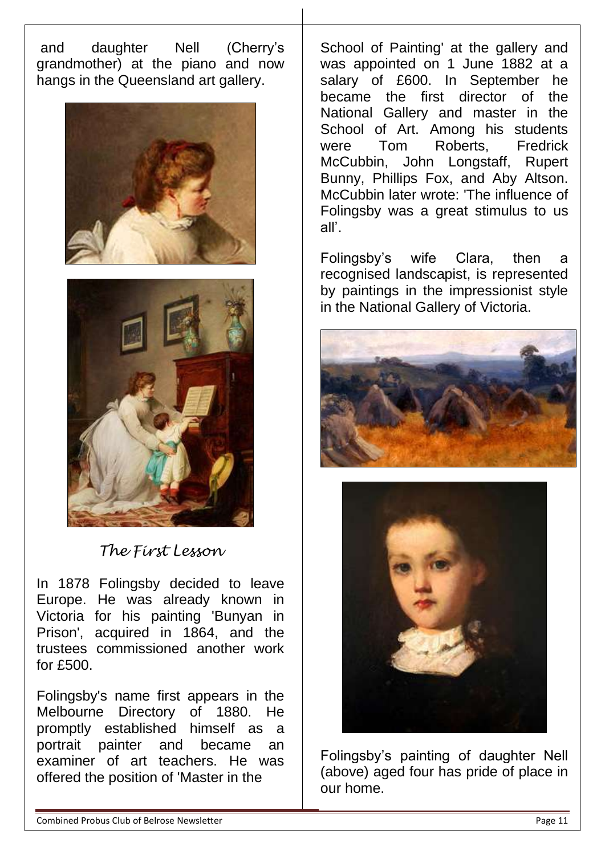and daughter Nell (Cherry's grandmother) at the piano and now hangs in the Queensland art gallery.





*The First Lesson*

In 1878 Folingsby decided to leave Europe. He was already known in Victoria for his painting 'Bunyan in Prison', acquired in 1864, and the trustees commissioned another work for £500.

Folingsby's name first appears in the Melbourne Directory of 1880. He promptly established himself as a portrait painter and became an examiner of art teachers. He was offered the position of 'Master in the

School of Painting' at the gallery and was appointed on 1 June 1882 at a salary of £600. In September he became the first director of the National Gallery and master in the School of Art. Among his students were Tom Roberts, Fredrick McCubbin, John Longstaff, Rupert Bunny, Phillips Fox, and Aby Altson. McCubbin later wrote: 'The influence of Folingsby was a great stimulus to us all'.

Folingsby's wife Clara, then a recognised landscapist, is represented by paintings in the impressionist style in the National Gallery of Victoria.





Folingsby's painting of daughter Nell (above) aged four has pride of place in our home.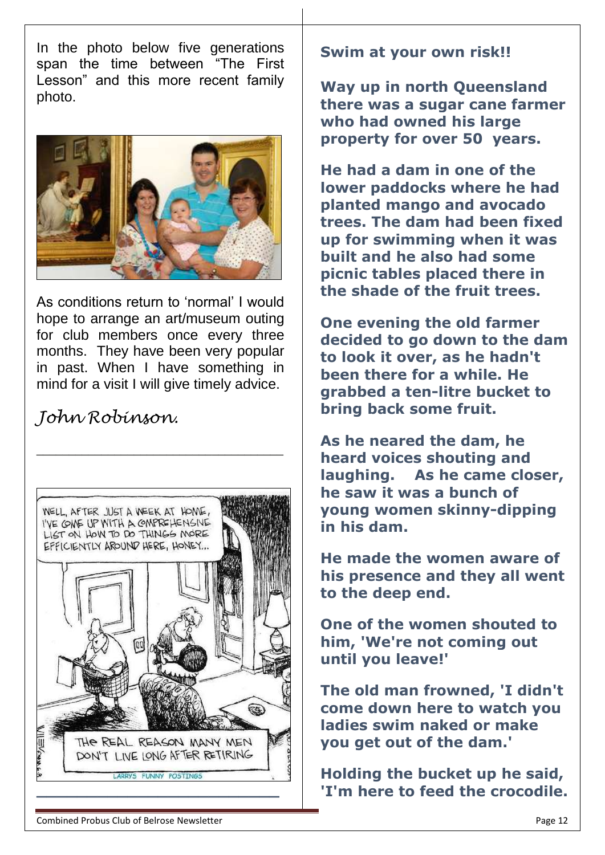In the photo below five generations span the time between "The First Lesson" and this more recent family photo.



As conditions return to 'normal' I would hope to arrange an art/museum outing for club members once every three months. They have been very popular in past. When I have something in mind for a visit I will give timely advice.

\_\_\_\_\_\_\_\_\_\_\_\_\_\_\_\_\_\_\_\_\_\_\_\_\_\_\_\_\_\_\_\_\_\_\_\_\_\_

### *John Robinson.*



#### **Swim at your own risk!!**

**Way up in north Queensland there was a sugar cane farmer who had owned his large property for over 50 years.**

**He had a dam in one of the lower paddocks where he had planted mango and avocado trees. The dam had been fixed up for swimming when it was built and he also had some picnic tables placed there in the shade of the fruit trees.**

**One evening the old farmer decided to go down to the dam to look it over, as he hadn't been there for a while. He grabbed a ten-litre bucket to bring back some fruit.**

**As he neared the dam, he heard voices shouting and laughing. As he came closer, he saw it was a bunch of young women skinny-dipping in his dam.**

**He made the women aware of his presence and they all went to the deep end.**

**One of the women shouted to him, 'We're not coming out until you leave!'**

**The old man frowned, 'I didn't come down here to watch you ladies swim naked or make you get out of the dam.'**

**Holding the bucket up he said, 'I'm here to feed the crocodile.**